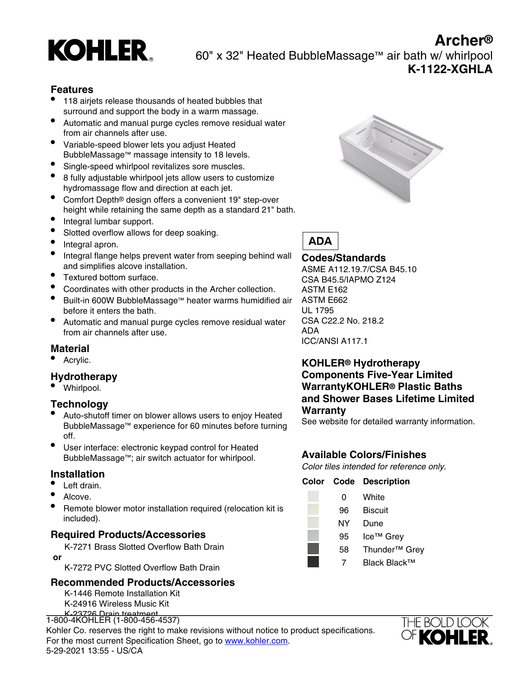

60" x 32" Heated BubbleMassage™ air bath w/ whirlpool **K-1122-XGHLA**

# **Features**

- 118 airjets release thousands of heated bubbles that surround and support the body in a warm massage.
- Automatic and manual purge cycles remove residual water from air channels after use.
- Variable-speed blower lets you adjust Heated BubbleMassage™ massage intensity to 18 levels.
- Single-speed whirlpool revitalizes sore muscles.
- 8 fully adjustable whirlpool jets allow users to customize hydromassage flow and direction at each jet.
- Comfort Depth® design offers a convenient 19" step-over height while retaining the same depth as a standard 21" bath.
- Integral lumbar support.
- Slotted overflow allows for deep soaking.
- Integral apron.
- Integral flange helps prevent water from seeping behind wall and simplifies alcove installation.
- Textured bottom surface.
- Coordinates with other products in the Archer collection.
- Built-in 600W BubbleMassage™ heater warms humidified air before it enters the bath.
- Automatic and manual purge cycles remove residual water from air channels after use.

#### **Material**

Acrylic.

# **Hydrotherapy**

• Whirlpool.

#### **Technology**

- Auto-shutoff timer on blower allows users to enjoy Heated BubbleMassage™ experience for 60 minutes before turning off.
- User interface: electronic keypad control for Heated BubbleMassage™; air switch actuator for whirlpool.

#### **Installation**

- Left drain.
- Alcove.
- Remote blower motor installation required (relocation kit is included).

#### **Required Products/Accessories**

K-7271 Brass Slotted Overflow Bath Drain

 **or**

K-7272 PVC Slotted Overflow Bath Drain

#### **Recommended Products/Accessories**

K-1446 Remote Installation Kit K-24916 Wireless Music Kit K-23726 Drain treatment

T-300-4ROTILLIT (T-300-430-4337)<br>Kohler Co. reserves the right to make revisions without notice to product specifications. 1-800-4KOHLER (1-800-456-4537) For the most current Specification Sheet, go to [www.kohler.com](http://www.kohler.com). 5-29-2021 13:55 - US/CA



**Archer®**



## **Codes/Standards**

ASME A112.19.7/CSA B45.10 CSA B45.5/IAPMO Z124 ASTM E162 ASTM E662 UL 1795 CSA C22.2 No. 218.2 ADA ICC/ANSI A117.1

# **KOHLER® Hydrotherapy Components Five-Year Limited WarrantyKOHLER® Plastic Baths and Shower Bases Lifetime Limited Warranty**

See website for detailed warranty information.

# **Available Colors/Finishes**

Color tiles intended for reference only.

#### **Color Code Description** 0 White

- 96 Biscuit NY Dune 95 Ice™ Grey
	- 58 Thunder™ Grey
		- 7 Black Black™